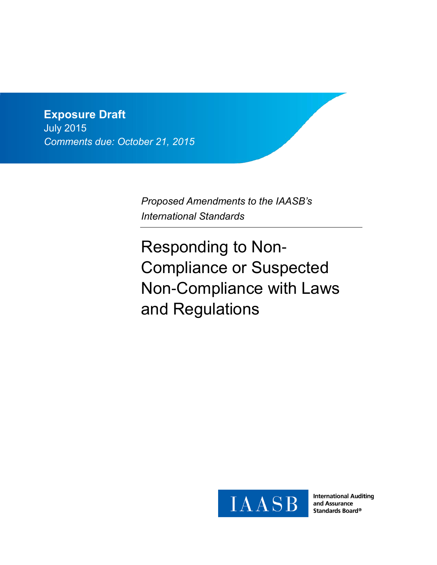**Exposure Draft** July 2015 *Comments due: October 21, 2015*

> *Proposed Amendments to the IAASB's International Standards*

Responding to Non-Compliance or Suspected Non-Compliance with Laws and Regulations



**International Auditing** and Assurance Standards Board®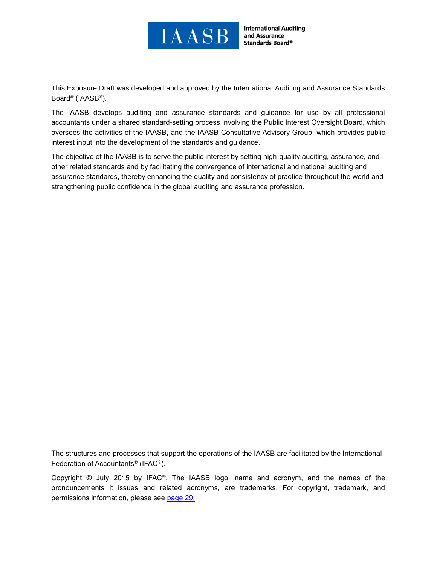

**International Auditing** and Assurance **Standards Board®** 

This Exposure Draft was developed and approved by the International Auditing and Assurance Standards Board® (IAASB®).

The IAASB develops auditing and assurance standards and guidance for use by all professional accountants under a shared standard-setting process involving the Public Interest Oversight Board, which oversees the activities of the IAASB, and the IAASB Consultative Advisory Group, which provides public interest input into the development of the standards and guidance.

The objective of the IAASB is to serve the public interest by setting high-quality auditing, assurance, and other related standards and by facilitating the convergence of international and national auditing and assurance standards, thereby enhancing the quality and consistency of practice throughout the world and strengthening public confidence in the global auditing and assurance profession.

The structures and processes that support the operations of the IAASB are facilitated by the International Federation of Accountants® (IFAC®).

Copyright © July 2015 by IFAC®. The IAASB logo, name and acronym, and the names of the pronouncements it issues and related acronyms, are trademarks. For copyright, trademark, and permissions information, please see page 29.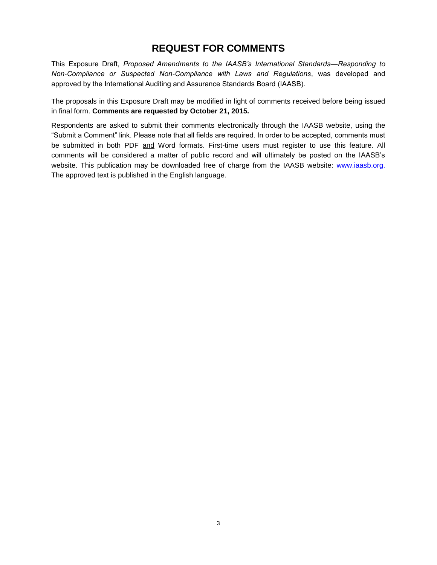# **REQUEST FOR COMMENTS**

This Exposure Draft, *Proposed Amendments to the IAASB's International Standards—Responding to Non-Compliance or Suspected Non-Compliance with Laws and Regulations*, was developed and approved by the International Auditing and Assurance Standards Board (IAASB).

The proposals in this Exposure Draft may be modified in light of comments received before being issued in final form. **Comments are requested by October 21, 2015.**

Respondents are asked to submit their comments electronically through the IAASB website, using the "Submit a Comment" link. Please note that all fields are required. In order to be accepted, comments must be submitted in both PDF and Word formats. First-time users must register to use this feature. All comments will be considered a matter of public record and will ultimately be posted on the IAASB's website. This publication may be downloaded free of charge from the IAASB website: www.iaasb.org. The approved text is published in the English language.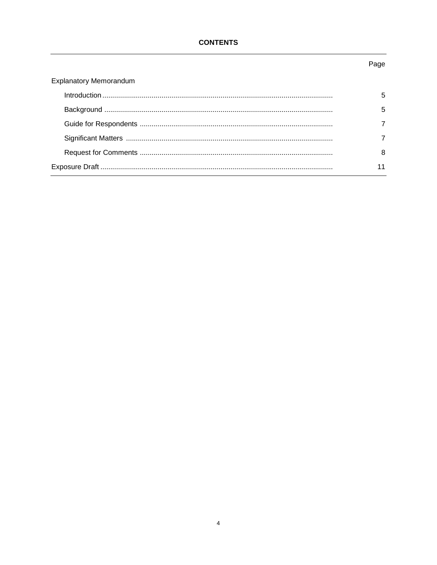#### **CONTENTS**

## Page

| <b>Explanatory Memorandum</b> |    |
|-------------------------------|----|
|                               | 5  |
|                               | 5  |
|                               |    |
|                               |    |
|                               | 8  |
|                               | 11 |
|                               |    |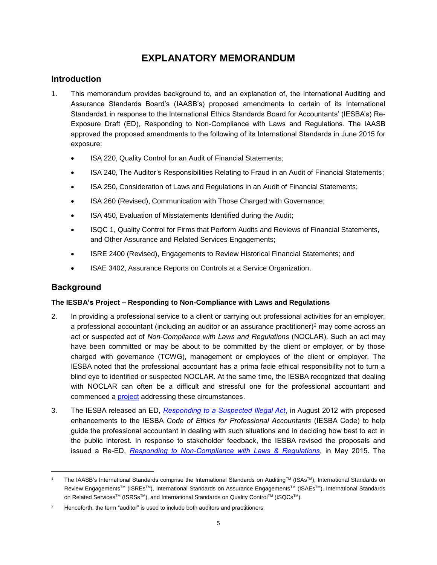# **EXPLANATORY MEMORANDUM**

## **Introduction**

- 1. This memorandum provides background to, and an explanation of, the International Auditing and Assurance Standards Board's (IAASB's) proposed amendments to certain of its International Standards1 in response to the International Ethics Standards Board for Accountants' (IESBA's) Re-Exposure Draft (ED), Responding to Non-Compliance with Laws and Regulations. The IAASB approved the proposed amendments to the following of its International Standards in June 2015 for exposure:
	- ISA 220, Quality Control for an Audit of Financial Statements;
	- ISA 240, The Auditor's Responsibilities Relating to Fraud in an Audit of Financial Statements;
	- ISA 250, Consideration of Laws and Regulations in an Audit of Financial Statements;
	- ISA 260 (Revised), Communication with Those Charged with Governance;
	- ISA 450, Evaluation of Misstatements Identified during the Audit;
	- ISQC 1, Quality Control for Firms that Perform Audits and Reviews of Financial Statements, and Other Assurance and Related Services Engagements;
	- ISRE 2400 (Revised), Engagements to Review Historical Financial Statements; and
	- ISAE 3402, Assurance Reports on Controls at a Service Organization.

## **Background**

l

### **The IESBA's Project – Responding to Non-Compliance with Laws and Regulations**

- 2. In providing a professional service to a client or carrying out professional activities for an employer, a professional accountant (including an auditor or an assurance practitioner)<sup>2</sup> may come across an act or suspected act of *Non-Compliance with Laws and Regulations* (NOCLAR). Such an act may have been committed or may be about to be committed by the client or employer, or by those charged with governance (TCWG), management or employees of the client or employer. The IESBA noted that the professional accountant has a prima facie ethical responsibility not to turn a blind eye to identified or suspected NOCLAR. At the same time, the IESBA recognized that dealing with NOCLAR can often be a difficult and stressful one for the professional accountant and commenced a **project** addressing these circumstances.
- 3. The IESBA released an ED, *Responding to a Suspected Illegal Act*, in August 2012 with proposed enhancements to the IESBA *Code of Ethics for Professional Accountants* (IESBA Code) to help guide the professional accountant in dealing with such situations and in deciding how best to act in the public interest. In response to stakeholder feedback, the IESBA revised the proposals and issued a Re-ED, *Responding to Non-Compliance with Laws & Regulations*, in May 2015. The

<sup>1</sup> The IAASB's International Standards comprise the International Standards on AuditingTM (ISAsTM), International Standards on Review Engagements<sup>™</sup> (ISREs<sup>™)</sup>, International Standards on Assurance Engagements<sup>™</sup> (ISAEs<sup>™)</sup>, International Standards on Related Services™ (ISRSs<sup>™)</sup>, and International Standards on Quality Control™ (ISQCs™).

<sup>&</sup>lt;sup>2</sup> Henceforth, the term "auditor" is used to include both auditors and practitioners.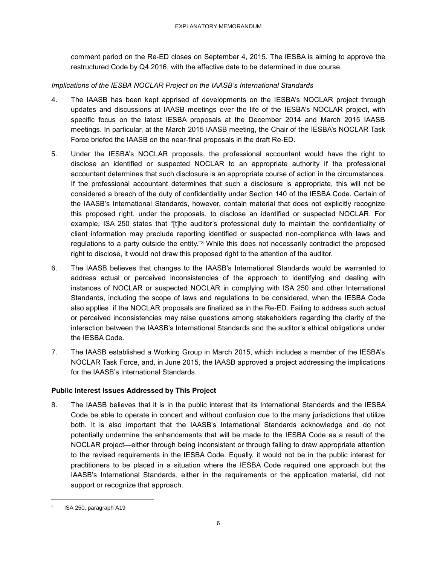comment period on the Re-ED closes on September 4, 2015. The IESBA is aiming to approve the restructured Code by Q4 2016, with the effective date to be determined in due course.

#### *Implications of the IESBA NOCLAR Project on the IAASB's International Standards*

- 4. The IAASB has been kept apprised of developments on the IESBA's NOCLAR project through updates and discussions at IAASB meetings over the life of the IESBA's NOCLAR project, with specific focus on the latest IESBA proposals at the December 2014 and March 2015 IAASB meetings. In particular, at the March 2015 IAASB meeting, the Chair of the IESBA's NOCLAR Task Force briefed the IAASB on the near-final proposals in the draft Re-ED.
- 5. Under the IESBA's NOCLAR proposals, the professional accountant would have the right to disclose an identified or suspected NOCLAR to an appropriate authority if the professional accountant determines that such disclosure is an appropriate course of action in the circumstances. If the professional accountant determines that such a disclosure is appropriate, this will not be considered a breach of the duty of confidentiality under Section 140 of the IESBA Code. Certain of the IAASB's International Standards, however, contain material that does not explicitly recognize this proposed right, under the proposals, to disclose an identified or suspected NOCLAR. For example, ISA 250 states that "[t]he auditor's professional duty to maintain the confidentiality of client information may preclude reporting identified or suspected non-compliance with laws and regulations to a party outside the entity."<sup>3</sup> While this does not necessarily contradict the proposed right to disclose, it would not draw this proposed right to the attention of the auditor.
- 6. The IAASB believes that changes to the IAASB's International Standards would be warranted to address actual or perceived inconsistencies of the approach to identifying and dealing with instances of NOCLAR or suspected NOCLAR in complying with ISA 250 and other International Standards, including the scope of laws and regulations to be considered, when the IESBA Code also applies if the NOCLAR proposals are finalized as in the Re-ED. Failing to address such actual or perceived inconsistencies may raise questions among stakeholders regarding the clarity of the interaction between the IAASB's International Standards and the auditor's ethical obligations under the IESBA Code.
- 7. The IAASB established a Working Group in March 2015, which includes a member of the IESBA's NOCLAR Task Force, and, in June 2015, the IAASB approved a project addressing the implications for the IAASB's International Standards.

### **Public Interest Issues Addressed by This Project**

8. The IAASB believes that it is in the public interest that its International Standards and the IESBA Code be able to operate in concert and without confusion due to the many jurisdictions that utilize both. It is also important that the IAASB's International Standards acknowledge and do not potentially undermine the enhancements that will be made to the IESBA Code as a result of the NOCLAR project—either through being inconsistent or through failing to draw appropriate attention to the revised requirements in the IESBA Code. Equally, it would not be in the public interest for practitioners to be placed in a situation where the IESBA Code required one approach but the IAASB's International Standards, either in the requirements or the application material, did not support or recognize that approach.

<sup>3</sup> ISA 250, paragraph A19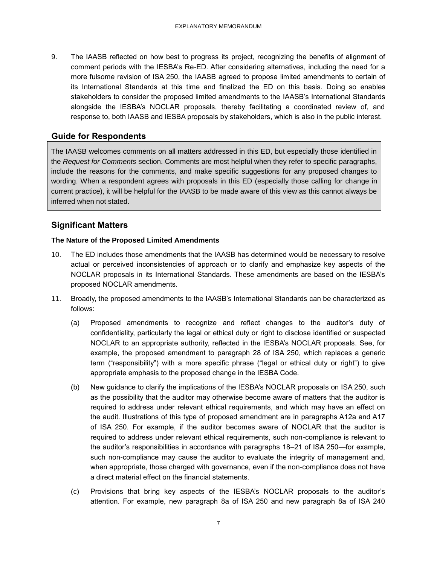9. The IAASB reflected on how best to progress its project, recognizing the benefits of alignment of comment periods with the IESBA's Re-ED. After considering alternatives, including the need for a more fulsome revision of ISA 250, the IAASB agreed to propose limited amendments to certain of its International Standards at this time and finalized the ED on this basis. Doing so enables stakeholders to consider the proposed limited amendments to the IAASB's International Standards alongside the IESBA's NOCLAR proposals, thereby facilitating a coordinated review of, and response to, both IAASB and IESBA proposals by stakeholders, which is also in the public interest.

### **Guide for Respondents**

The IAASB welcomes comments on all matters addressed in this ED, but especially those identified in the *Request for Comments* section. Comments are most helpful when they refer to specific paragraphs, include the reasons for the comments, and make specific suggestions for any proposed changes to wording. When a respondent agrees with proposals in this ED (especially those calling for change in current practice), it will be helpful for the IAASB to be made aware of this view as this cannot always be inferred when not stated.

### **Significant Matters**

#### **The Nature of the Proposed Limited Amendments**

- 10. The ED includes those amendments that the IAASB has determined would be necessary to resolve actual or perceived inconsistencies of approach or to clarify and emphasize key aspects of the NOCLAR proposals in its International Standards. These amendments are based on the IESBA's proposed NOCLAR amendments.
- 11. Broadly, the proposed amendments to the IAASB's International Standards can be characterized as follows:
	- (a) Proposed amendments to recognize and reflect changes to the auditor's duty of confidentiality, particularly the legal or ethical duty or right to disclose identified or suspected NOCLAR to an appropriate authority, reflected in the IESBA's NOCLAR proposals. See, for example, the proposed amendment to paragraph 28 of ISA 250, which replaces a generic term ("responsibility") with a more specific phrase ("legal or ethical duty or right") to give appropriate emphasis to the proposed change in the IESBA Code.
	- (b) New guidance to clarify the implications of the IESBA's NOCLAR proposals on ISA 250, such as the possibility that the auditor may otherwise become aware of matters that the auditor is required to address under relevant ethical requirements, and which may have an effect on the audit. Illustrations of this type of proposed amendment are in paragraphs A12a and A17 of ISA 250. For example, if the auditor becomes aware of NOCLAR that the auditor is required to address under relevant ethical requirements, such non-compliance is relevant to the auditor's responsibilities in accordance with paragraphs 18–21 of ISA 250—for example, such non-compliance may cause the auditor to evaluate the integrity of management and, when appropriate, those charged with governance, even if the non-compliance does not have a direct material effect on the financial statements.
	- (c) Provisions that bring key aspects of the IESBA's NOCLAR proposals to the auditor's attention. For example, new paragraph 8a of ISA 250 and new paragraph 8a of ISA 240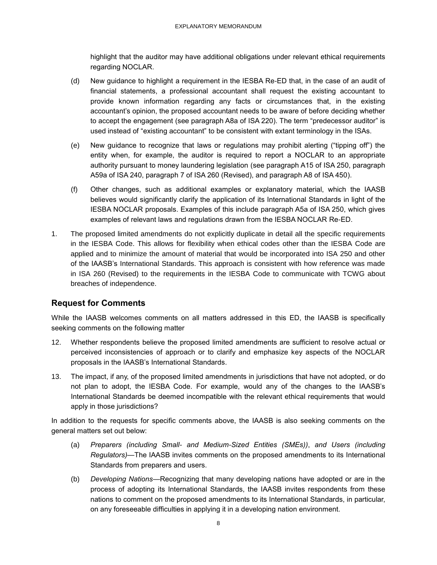highlight that the auditor may have additional obligations under relevant ethical requirements regarding NOCLAR.

- (d) New guidance to highlight a requirement in the IESBA Re-ED that, in the case of an audit of financial statements, a professional accountant shall request the existing accountant to provide known information regarding any facts or circumstances that, in the existing accountant's opinion, the proposed accountant needs to be aware of before deciding whether to accept the engagement (see paragraph A8a of ISA 220). The term "predecessor auditor" is used instead of "existing accountant" to be consistent with extant terminology in the ISAs.
- (e) New guidance to recognize that laws or regulations may prohibit alerting ("tipping off") the entity when, for example, the auditor is required to report a NOCLAR to an appropriate authority pursuant to money laundering legislation (see paragraph A15 of ISA 250, paragraph A59a of ISA 240, paragraph 7 of ISA 260 (Revised), and paragraph A8 of ISA 450).
- (f) Other changes, such as additional examples or explanatory material, which the IAASB believes would significantly clarify the application of its International Standards in light of the IESBA NOCLAR proposals. Examples of this include paragraph A5a of ISA 250, which gives examples of relevant laws and regulations drawn from the IESBA NOCLAR Re-ED.
- 1. The proposed limited amendments do not explicitly duplicate in detail all the specific requirements in the IESBA Code. This allows for flexibility when ethical codes other than the IESBA Code are applied and to minimize the amount of material that would be incorporated into ISA 250 and other of the IAASB's International Standards. This approach is consistent with how reference was made in ISA 260 (Revised) to the requirements in the IESBA Code to communicate with TCWG about breaches of independence.

## **Request for Comments**

While the IAASB welcomes comments on all matters addressed in this ED, the IAASB is specifically seeking comments on the following matter

- 12. Whether respondents believe the proposed limited amendments are sufficient to resolve actual or perceived inconsistencies of approach or to clarify and emphasize key aspects of the NOCLAR proposals in the IAASB's International Standards.
- 13. The impact, if any, of the proposed limited amendments in jurisdictions that have not adopted, or do not plan to adopt, the IESBA Code. For example, would any of the changes to the IAASB's International Standards be deemed incompatible with the relevant ethical requirements that would apply in those jurisdictions?

In addition to the requests for specific comments above, the IAASB is also seeking comments on the general matters set out below:

- (a) *Preparers (including Small- and Medium-Sized Entities (SMEs))*, *and Users (including Regulators)*—The IAASB invites comments on the proposed amendments to its International Standards from preparers and users.
- (b) *Developing Nations*—Recognizing that many developing nations have adopted or are in the process of adopting its International Standards, the IAASB invites respondents from these nations to comment on the proposed amendments to its International Standards, in particular, on any foreseeable difficulties in applying it in a developing nation environment.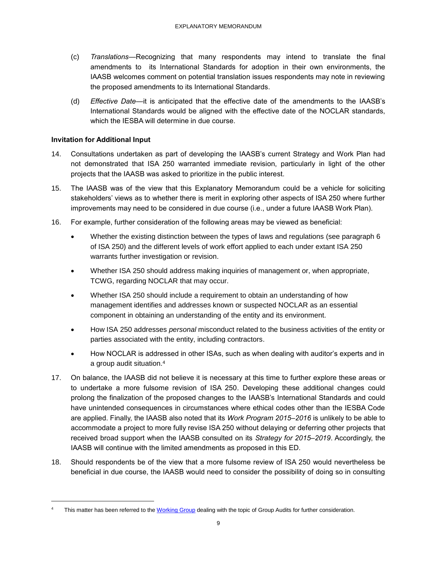- (c) *Translations*—Recognizing that many respondents may intend to translate the final amendments to its International Standards for adoption in their own environments, the IAASB welcomes comment on potential translation issues respondents may note in reviewing the proposed amendments to its International Standards.
- (d) *Effective Date*—it is anticipated that the effective date of the amendments to the IAASB's International Standards would be aligned with the effective date of the NOCLAR standards, which the IESBA will determine in due course.

#### **Invitation for Additional Input**

- 14. Consultations undertaken as part of developing the IAASB's current Strategy and Work Plan had not demonstrated that ISA 250 warranted immediate revision, particularly in light of the other projects that the IAASB was asked to prioritize in the public interest.
- 15. The IAASB was of the view that this Explanatory Memorandum could be a vehicle for soliciting stakeholders' views as to whether there is merit in exploring other aspects of ISA 250 where further improvements may need to be considered in due course (i.e., under a future IAASB Work Plan).
- 16. For example, further consideration of the following areas may be viewed as beneficial:
	- Whether the existing distinction between the types of laws and regulations (see paragraph 6 of ISA 250) and the different levels of work effort applied to each under extant ISA 250 warrants further investigation or revision.
	- Whether ISA 250 should address making inquiries of management or, when appropriate, TCWG, regarding NOCLAR that may occur.
	- Whether ISA 250 should include a requirement to obtain an understanding of how management identifies and addresses known or suspected NOCLAR as an essential component in obtaining an understanding of the entity and its environment.
	- How ISA 250 addresses *personal* misconduct related to the business activities of the entity or parties associated with the entity, including contractors.
	- How NOCLAR is addressed in other ISAs, such as when dealing with auditor's experts and in a group audit situation.<sup>4</sup>
- 17. On balance, the IAASB did not believe it is necessary at this time to further explore these areas or to undertake a more fulsome revision of ISA 250. Developing these additional changes could prolong the finalization of the proposed changes to the IAASB's International Standards and could have unintended consequences in circumstances where ethical codes other than the IESBA Code are applied. Finally, the IAASB also noted that its *Work Program 2015–2016* is unlikely to be able to accommodate a project to more fully revise ISA 250 without delaying or deferring other projects that received broad support when the IAASB consulted on its *Strategy for 2015–2019*. Accordingly, the IAASB will continue with the limited amendments as proposed in this ED.
- 18. Should respondents be of the view that a more fulsome review of ISA 250 would nevertheless be beneficial in due course, the IAASB would need to consider the possibility of doing so in consulting

This matter has been referred to the Working Group dealing with the topic of Group Audits for further consideration.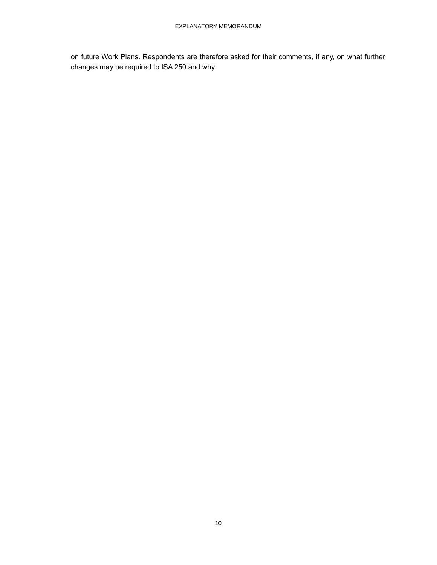on future Work Plans. Respondents are therefore asked for their comments, if any, on what further changes may be required to ISA 250 and why.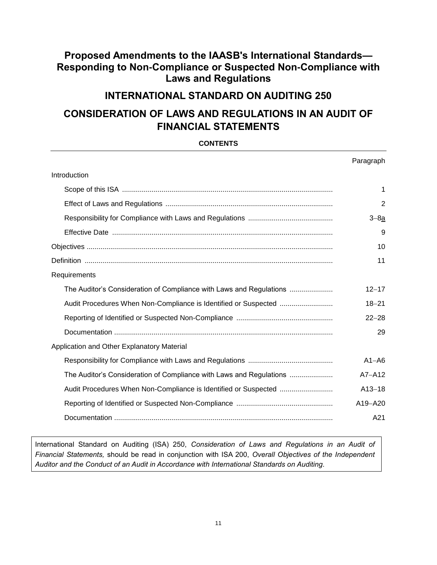# **Proposed Amendments to the IAASB's International Standards— Responding to Non-Compliance or Suspected Non-Compliance with Laws and Regulations**

## **INTERNATIONAL STANDARD ON AUDITING 250**

# **CONSIDERATION OF LAWS AND REGULATIONS IN AN AUDIT OF FINANCIAL STATEMENTS**

| <b>CONTENTS</b>                                                     |            |  |
|---------------------------------------------------------------------|------------|--|
|                                                                     | Paragraph  |  |
| Introduction                                                        |            |  |
|                                                                     | 1          |  |
|                                                                     | 2          |  |
|                                                                     | $3 - 8a$   |  |
|                                                                     | 9          |  |
|                                                                     | 10         |  |
|                                                                     | 11         |  |
| Requirements                                                        |            |  |
| The Auditor's Consideration of Compliance with Laws and Regulations | $12 - 17$  |  |
| Audit Procedures When Non-Compliance is Identified or Suspected     | $18 - 21$  |  |
|                                                                     | $22 - 28$  |  |
|                                                                     | 29         |  |
| Application and Other Explanatory Material                          |            |  |
|                                                                     | $A1 - A6$  |  |
| The Auditor's Consideration of Compliance with Laws and Regulations | A7-A12     |  |
|                                                                     | $A13 - 18$ |  |
|                                                                     | A19-A20    |  |
|                                                                     | A21        |  |

International Standard on Auditing (ISA) 250, *Consideration of Laws and Regulations in an Audit of Financial Statements,* should be read in conjunction with ISA 200, *Overall Objectives of the Independent Auditor and the Conduct of an Audit in Accordance with International Standards on Auditing*.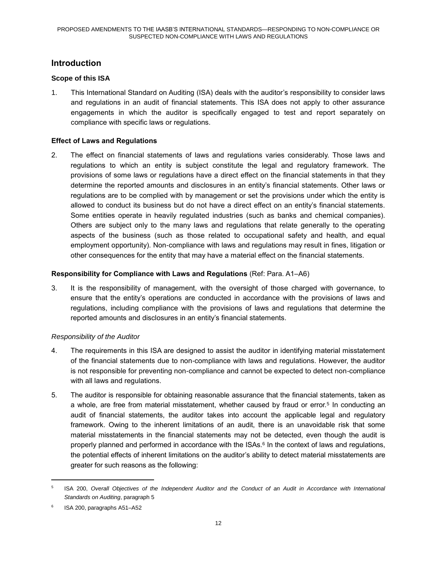## **Introduction**

#### **Scope of this ISA**

1. This International Standard on Auditing (ISA) deals with the auditor's responsibility to consider laws and regulations in an audit of financial statements. This ISA does not apply to other assurance engagements in which the auditor is specifically engaged to test and report separately on compliance with specific laws or regulations.

### **Effect of Laws and Regulations**

2. The effect on financial statements of laws and regulations varies considerably. Those laws and regulations to which an entity is subject constitute the legal and regulatory framework. The provisions of some laws or regulations have a direct effect on the financial statements in that they determine the reported amounts and disclosures in an entity's financial statements. Other laws or regulations are to be complied with by management or set the provisions under which the entity is allowed to conduct its business but do not have a direct effect on an entity's financial statements. Some entities operate in heavily regulated industries (such as banks and chemical companies). Others are subject only to the many laws and regulations that relate generally to the operating aspects of the business (such as those related to occupational safety and health, and equal employment opportunity). Non-compliance with laws and regulations may result in fines, litigation or other consequences for the entity that may have a material effect on the financial statements.

#### **Responsibility for Compliance with Laws and Regulations** (Ref: Para. A1–A6)

3. It is the responsibility of management, with the oversight of those charged with governance, to ensure that the entity's operations are conducted in accordance with the provisions of laws and regulations, including compliance with the provisions of laws and regulations that determine the reported amounts and disclosures in an entity's financial statements.

#### *Responsibility of the Auditor*

- 4. The requirements in this ISA are designed to assist the auditor in identifying material misstatement of the financial statements due to non-compliance with laws and regulations. However, the auditor is not responsible for preventing non-compliance and cannot be expected to detect non-compliance with all laws and regulations.
- 5. The auditor is responsible for obtaining reasonable assurance that the financial statements, taken as a whole, are free from material misstatement, whether caused by fraud or error.<sup>5</sup> In conducting an audit of financial statements, the auditor takes into account the applicable legal and regulatory framework. Owing to the inherent limitations of an audit, there is an unavoidable risk that some material misstatements in the financial statements may not be detected, even though the audit is properly planned and performed in accordance with the ISAs.<sup>6</sup> In the context of laws and regulations, the potential effects of inherent limitations on the auditor's ability to detect material misstatements are greater for such reasons as the following:

<sup>5</sup> ISA 200, Overall Objectives of the Independent Auditor and the Conduct of an Audit in Accordance with International *Standards on Auditing*, paragraph 5

<sup>6</sup> ISA 200, paragraphs A51–A52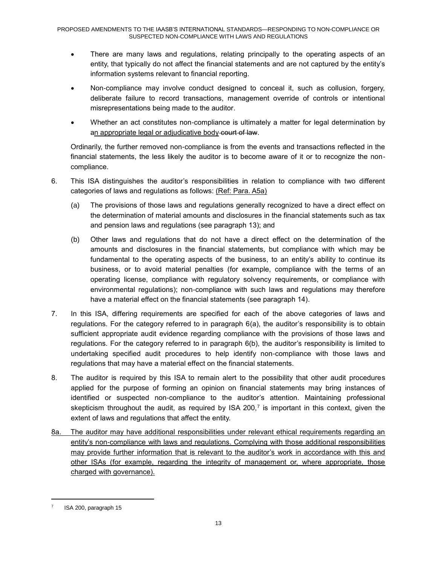- There are many laws and regulations, relating principally to the operating aspects of an entity, that typically do not affect the financial statements and are not captured by the entity's information systems relevant to financial reporting.
- Non-compliance may involve conduct designed to conceal it, such as collusion, forgery, deliberate failure to record transactions, management override of controls or intentional misrepresentations being made to the auditor.
- Whether an act constitutes non-compliance is ultimately a matter for legal determination by an appropriate legal or adjudicative body-court of law.

Ordinarily, the further removed non-compliance is from the events and transactions reflected in the financial statements, the less likely the auditor is to become aware of it or to recognize the noncompliance.

- 6. This ISA distinguishes the auditor's responsibilities in relation to compliance with two different categories of laws and regulations as follows: (Ref: Para. A5a)
	- (a) The provisions of those laws and regulations generally recognized to have a direct effect on the determination of material amounts and disclosures in the financial statements such as tax and pension laws and regulations (see paragraph 13); and
	- (b) Other laws and regulations that do not have a direct effect on the determination of the amounts and disclosures in the financial statements, but compliance with which may be fundamental to the operating aspects of the business, to an entity's ability to continue its business, or to avoid material penalties (for example, compliance with the terms of an operating license, compliance with regulatory solvency requirements, or compliance with environmental regulations); non-compliance with such laws and regulations may therefore have a material effect on the financial statements (see paragraph 14).
- 7. In this ISA, differing requirements are specified for each of the above categories of laws and regulations. For the category referred to in paragraph 6(a), the auditor's responsibility is to obtain sufficient appropriate audit evidence regarding compliance with the provisions of those laws and regulations. For the category referred to in paragraph 6(b), the auditor's responsibility is limited to undertaking specified audit procedures to help identify non-compliance with those laws and regulations that may have a material effect on the financial statements.
- 8. The auditor is required by this ISA to remain alert to the possibility that other audit procedures applied for the purpose of forming an opinion on financial statements may bring instances of identified or suspected non-compliance to the auditor's attention. Maintaining professional skepticism throughout the audit, as required by ISA 200,<sup>7</sup> is important in this context, given the extent of laws and regulations that affect the entity.
- 8a. The auditor may have additional responsibilities under relevant ethical requirements regarding an entity's non-compliance with laws and regulations. Complying with those additional responsibilities may provide further information that is relevant to the auditor's work in accordance with this and other ISAs (for example, regarding the integrity of management or, where appropriate, those charged with governance).

<sup>7</sup> ISA 200, paragraph 15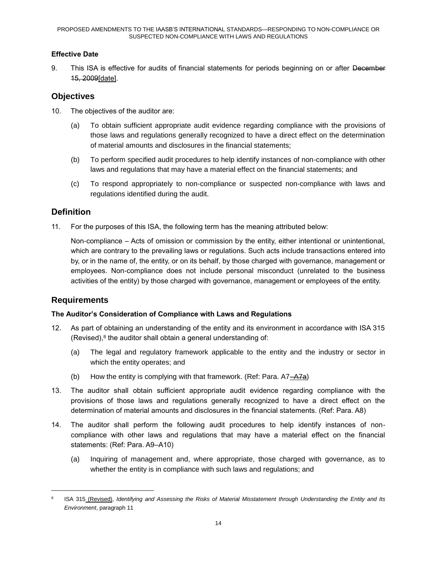### **Effective Date**

9. This ISA is effective for audits of financial statements for periods beginning on or after December 15, 2009[date].

### **Objectives**

- 10. The objectives of the auditor are:
	- (a) To obtain sufficient appropriate audit evidence regarding compliance with the provisions of those laws and regulations generally recognized to have a direct effect on the determination of material amounts and disclosures in the financial statements;
	- (b) To perform specified audit procedures to help identify instances of non-compliance with other laws and regulations that may have a material effect on the financial statements; and
	- (c) To respond appropriately to non-compliance or suspected non-compliance with laws and regulations identified during the audit.

## **Definition**

11. For the purposes of this ISA, the following term has the meaning attributed below:

Non-compliance – Acts of omission or commission by the entity, either intentional or unintentional, which are contrary to the prevailing laws or regulations. Such acts include transactions entered into by, or in the name of, the entity, or on its behalf, by those charged with governance, management or employees. Non-compliance does not include personal misconduct (unrelated to the business activities of the entity) by those charged with governance, management or employees of the entity.

## **Requirements**

l

### **The Auditor's Consideration of Compliance with Laws and Regulations**

- 12. As part of obtaining an understanding of the entity and its environment in accordance with ISA 315 (Revised), $8$  the auditor shall obtain a general understanding of:
	- (a) The legal and regulatory framework applicable to the entity and the industry or sector in which the entity operates; and
	- (b) How the entity is complying with that framework. (Ref: Para.  $A7-\overline{A7a}$ )
- 13. The auditor shall obtain sufficient appropriate audit evidence regarding compliance with the provisions of those laws and regulations generally recognized to have a direct effect on the determination of material amounts and disclosures in the financial statements. (Ref: Para. A8)
- 14. The auditor shall perform the following audit procedures to help identify instances of noncompliance with other laws and regulations that may have a material effect on the financial statements: (Ref: Para. A9–A10)
	- (a) Inquiring of management and, where appropriate, those charged with governance, as to whether the entity is in compliance with such laws and regulations; and

<sup>8</sup> ISA 315 (Revised), *Identifying and Assessing the Risks of Material Misstatement through Understanding the Entity and Its Environment*, paragraph 11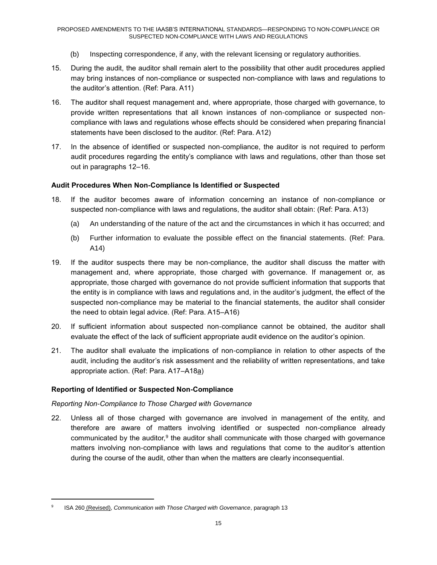- (b) Inspecting correspondence, if any, with the relevant licensing or regulatory authorities.
- 15. During the audit, the auditor shall remain alert to the possibility that other audit procedures applied may bring instances of non-compliance or suspected non-compliance with laws and regulations to the auditor's attention. (Ref: Para. A11)
- 16. The auditor shall request management and, where appropriate, those charged with governance, to provide written representations that all known instances of non-compliance or suspected noncompliance with laws and regulations whose effects should be considered when preparing financial statements have been disclosed to the auditor. (Ref: Para. A12)
- 17. In the absence of identified or suspected non-compliance, the auditor is not required to perform audit procedures regarding the entity's compliance with laws and regulations, other than those set out in paragraphs 12–16.

#### **Audit Procedures When Non-Compliance Is Identified or Suspected**

- 18. If the auditor becomes aware of information concerning an instance of non-compliance or suspected non-compliance with laws and regulations, the auditor shall obtain: (Ref: Para. A13)
	- (a) An understanding of the nature of the act and the circumstances in which it has occurred; and
	- (b) Further information to evaluate the possible effect on the financial statements. (Ref: Para. A14)
- 19. If the auditor suspects there may be non-compliance, the auditor shall discuss the matter with management and, where appropriate, those charged with governance. If management or, as appropriate, those charged with governance do not provide sufficient information that supports that the entity is in compliance with laws and regulations and, in the auditor's judgment, the effect of the suspected non-compliance may be material to the financial statements, the auditor shall consider the need to obtain legal advice. (Ref: Para. A15–A16)
- 20. If sufficient information about suspected non-compliance cannot be obtained, the auditor shall evaluate the effect of the lack of sufficient appropriate audit evidence on the auditor's opinion.
- 21. The auditor shall evaluate the implications of non-compliance in relation to other aspects of the audit, including the auditor's risk assessment and the reliability of written representations, and take appropriate action. (Ref: Para. A17–A18a)

#### **Reporting of Identified or Suspected Non-Compliance**

l

#### *Reporting Non-Compliance to Those Charged with Governance*

22. Unless all of those charged with governance are involved in management of the entity, and therefore are aware of matters involving identified or suspected non-compliance already communicated by the auditor,<sup>9</sup> the auditor shall communicate with those charged with governance matters involving non-compliance with laws and regulations that come to the auditor's attention during the course of the audit, other than when the matters are clearly inconsequential.

<sup>9</sup> ISA 260 (Revised), *Communication with Those Charged with Governance*, paragraph 13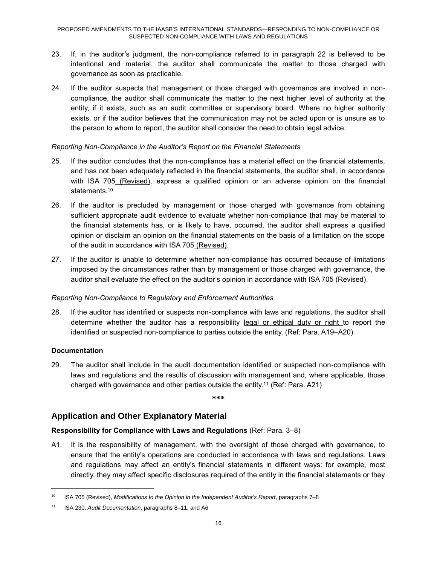- 23. If, in the auditor's judgment, the non-compliance referred to in paragraph 22 is believed to be intentional and material, the auditor shall communicate the matter to those charged with governance as soon as practicable.
- 24. If the auditor suspects that management or those charged with governance are involved in noncompliance, the auditor shall communicate the matter to the next higher level of authority at the entity, if it exists, such as an audit committee or supervisory board. Where no higher authority exists, or if the auditor believes that the communication may not be acted upon or is unsure as to the person to whom to report, the auditor shall consider the need to obtain legal advice.

#### *Reporting Non-Compliance in the Auditor's Report on the Financial Statements*

- 25. If the auditor concludes that the non-compliance has a material effect on the financial statements, and has not been adequately reflected in the financial statements, the auditor shall, in accordance with ISA 705 (Revised), express a qualified opinion or an adverse opinion on the financial statements.<sup>10</sup>
- 26. If the auditor is precluded by management or those charged with governance from obtaining sufficient appropriate audit evidence to evaluate whether non-compliance that may be material to the financial statements has, or is likely to have, occurred, the auditor shall express a qualified opinion or disclaim an opinion on the financial statements on the basis of a limitation on the scope of the audit in accordance with ISA 705 (Revised).
- 27. If the auditor is unable to determine whether non-compliance has occurred because of limitations imposed by the circumstances rather than by management or those charged with governance, the auditor shall evaluate the effect on the auditor's opinion in accordance with ISA 705 (Revised).

### *Reporting Non-Compliance to Regulatory and Enforcement Authorities*

28. If the auditor has identified or suspects non-compliance with laws and regulations, the auditor shall determine whether the auditor has a responsibility legal or ethical duty or right to report the identified or suspected non-compliance to parties outside the entity. (Ref: Para. A19–A20)

#### **Documentation**

l

29. The auditor shall include in the audit documentation identified or suspected non-compliance with laws and regulations and the results of discussion with management and, where applicable, those charged with governance and other parties outside the entity.<sup>11</sup> (Ref: Para. A21)

**\*\*\***

## **Application and Other Explanatory Material**

### **Responsibility for Compliance with Laws and Regulations** (Ref: Para. 3–8)

A1. It is the responsibility of management, with the oversight of those charged with governance, to ensure that the entity's operations are conducted in accordance with laws and regulations. Laws and regulations may affect an entity's financial statements in different ways: for example, most directly, they may affect specific disclosures required of the entity in the financial statements or they

<sup>10</sup> ISA 705 (Revised), *Modifications to the Opinion in the Independent Auditor's Report*, paragraphs 7–8

<sup>11</sup> ISA 230, *Audit Documentation*, paragraphs 8–11, and A6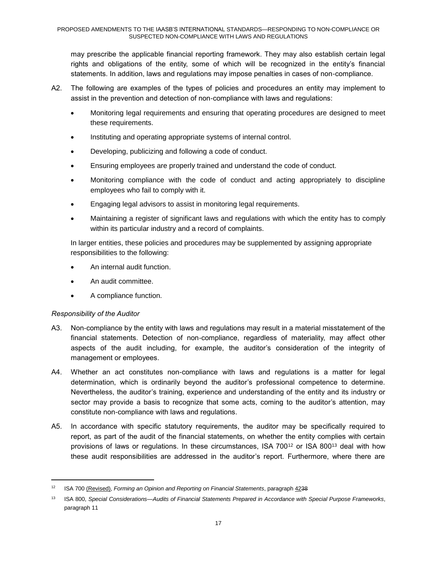may prescribe the applicable financial reporting framework. They may also establish certain legal rights and obligations of the entity, some of which will be recognized in the entity's financial statements. In addition, laws and regulations may impose penalties in cases of non-compliance.

- A2. The following are examples of the types of policies and procedures an entity may implement to assist in the prevention and detection of non-compliance with laws and regulations:
	- Monitoring legal requirements and ensuring that operating procedures are designed to meet these requirements.
	- Instituting and operating appropriate systems of internal control.
	- Developing, publicizing and following a code of conduct.
	- Ensuring employees are properly trained and understand the code of conduct.
	- Monitoring compliance with the code of conduct and acting appropriately to discipline employees who fail to comply with it.
	- Engaging legal advisors to assist in monitoring legal requirements.
	- Maintaining a register of significant laws and regulations with which the entity has to comply within its particular industry and a record of complaints.

In larger entities, these policies and procedures may be supplemented by assigning appropriate responsibilities to the following:

- An internal audit function.
- An audit committee.
- A compliance function.

#### *Responsibility of the Auditor*

- A3. Non-compliance by the entity with laws and regulations may result in a material misstatement of the financial statements. Detection of non-compliance, regardless of materiality, may affect other aspects of the audit including, for example, the auditor's consideration of the integrity of management or employees.
- A4. Whether an act constitutes non-compliance with laws and regulations is a matter for legal determination, which is ordinarily beyond the auditor's professional competence to determine. Nevertheless, the auditor's training, experience and understanding of the entity and its industry or sector may provide a basis to recognize that some acts, coming to the auditor's attention, may constitute non-compliance with laws and regulations.
- A5. In accordance with specific statutory requirements, the auditor may be specifically required to report, as part of the audit of the financial statements, on whether the entity complies with certain provisions of laws or regulations. In these circumstances, ISA 700<sup>12</sup> or ISA 800<sup>13</sup> deal with how these audit responsibilities are addressed in the auditor's report. Furthermore, where there are

<sup>&</sup>lt;sup>12</sup> ISA 700 (Revised), *Forming an Opinion and Reporting on Financial Statements*, paragraph 4238

<sup>13</sup> ISA 800, *Special Considerations—Audits of Financial Statements Prepared in Accordance with Special Purpose Frameworks*, paragraph 11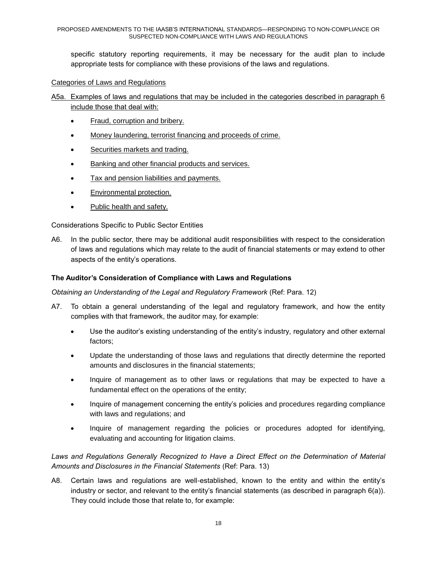specific statutory reporting requirements, it may be necessary for the audit plan to include appropriate tests for compliance with these provisions of the laws and regulations.

#### Categories of Laws and Regulations

- A5a. Examples of laws and regulations that may be included in the categories described in paragraph 6 include those that deal with:
	- Fraud, corruption and bribery.
	- Money laundering, terrorist financing and proceeds of crime.
	- Securities markets and trading.
	- Banking and other financial products and services.
	- Tax and pension liabilities and payments.
	- Environmental protection.
	- Public health and safety.

Considerations Specific to Public Sector Entities

A6. In the public sector, there may be additional audit responsibilities with respect to the consideration of laws and regulations which may relate to the audit of financial statements or may extend to other aspects of the entity's operations.

#### **The Auditor's Consideration of Compliance with Laws and Regulations**

#### *Obtaining an Understanding of the Legal and Regulatory Framework* (Ref: Para. 12)

- A7. To obtain a general understanding of the legal and regulatory framework, and how the entity complies with that framework, the auditor may, for example:
	- Use the auditor's existing understanding of the entity's industry, regulatory and other external factors;
	- Update the understanding of those laws and regulations that directly determine the reported amounts and disclosures in the financial statements;
	- Inquire of management as to other laws or regulations that may be expected to have a fundamental effect on the operations of the entity;
	- Inquire of management concerning the entity's policies and procedures regarding compliance with laws and regulations; and
	- Inquire of management regarding the policies or procedures adopted for identifying, evaluating and accounting for litigation claims.

*Laws and Regulations Generally Recognized to Have a Direct Effect on the Determination of Material Amounts and Disclosures in the Financial Statements* (Ref: Para. 13)

A8. Certain laws and regulations are well-established, known to the entity and within the entity's industry or sector, and relevant to the entity's financial statements (as described in paragraph 6(a)). They could include those that relate to, for example: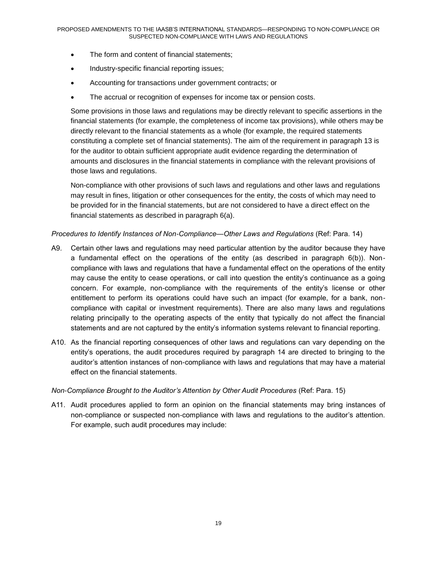- The form and content of financial statements;
- Industry-specific financial reporting issues;
- Accounting for transactions under government contracts; or
- The accrual or recognition of expenses for income tax or pension costs.

Some provisions in those laws and regulations may be directly relevant to specific assertions in the financial statements (for example, the completeness of income tax provisions), while others may be directly relevant to the financial statements as a whole (for example, the required statements constituting a complete set of financial statements). The aim of the requirement in paragraph 13 is for the auditor to obtain sufficient appropriate audit evidence regarding the determination of amounts and disclosures in the financial statements in compliance with the relevant provisions of those laws and regulations.

Non-compliance with other provisions of such laws and regulations and other laws and regulations may result in fines, litigation or other consequences for the entity, the costs of which may need to be provided for in the financial statements, but are not considered to have a direct effect on the financial statements as described in paragraph 6(a).

#### *Procedures to Identify Instances of Non-Compliance—Other Laws and Regulations* (Ref: Para. 14)

- A9. Certain other laws and regulations may need particular attention by the auditor because they have a fundamental effect on the operations of the entity (as described in paragraph 6(b)). Noncompliance with laws and regulations that have a fundamental effect on the operations of the entity may cause the entity to cease operations, or call into question the entity's continuance as a going concern. For example, non-compliance with the requirements of the entity's license or other entitlement to perform its operations could have such an impact (for example, for a bank, noncompliance with capital or investment requirements). There are also many laws and regulations relating principally to the operating aspects of the entity that typically do not affect the financial statements and are not captured by the entity's information systems relevant to financial reporting.
- A10. As the financial reporting consequences of other laws and regulations can vary depending on the entity's operations, the audit procedures required by paragraph 14 are directed to bringing to the auditor's attention instances of non-compliance with laws and regulations that may have a material effect on the financial statements.

#### *Non-Compliance Brought to the Auditor's Attention by Other Audit Procedures* (Ref: Para. 15)

A11. Audit procedures applied to form an opinion on the financial statements may bring instances of non-compliance or suspected non-compliance with laws and regulations to the auditor's attention. For example, such audit procedures may include: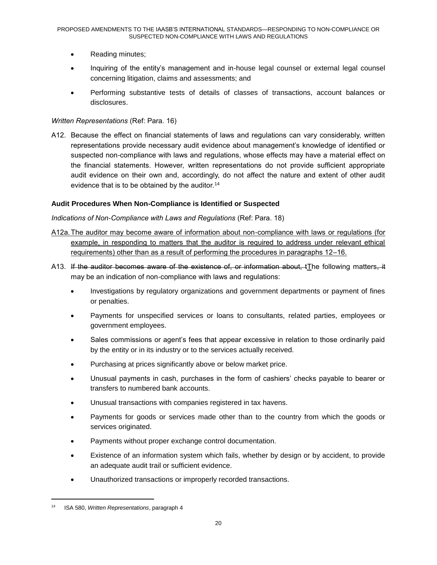- Reading minutes;
- Inquiring of the entity's management and in-house legal counsel or external legal counsel concerning litigation, claims and assessments; and
- Performing substantive tests of details of classes of transactions, account balances or disclosures.

#### *Written Representations* (Ref: Para. 16)

A12. Because the effect on financial statements of laws and regulations can vary considerably, written representations provide necessary audit evidence about management's knowledge of identified or suspected non-compliance with laws and regulations, whose effects may have a material effect on the financial statements. However, written representations do not provide sufficient appropriate audit evidence on their own and, accordingly, do not affect the nature and extent of other audit evidence that is to be obtained by the auditor.<sup>14</sup>

#### **Audit Procedures When Non-Compliance is Identified or Suspected**

#### *Indications of Non-Compliance with Laws and Regulations* (Ref: Para. 18)

- A12a.The auditor may become aware of information about non-compliance with laws or regulations (for example, in responding to matters that the auditor is required to address under relevant ethical requirements) other than as a result of performing the procedures in paragraphs 12–16.
- A13. If the auditor becomes aware of the existence of, or information about, tThe following matters, it may be an indication of non-compliance with laws and regulations:
	- Investigations by regulatory organizations and government departments or payment of fines or penalties.
	- Payments for unspecified services or loans to consultants, related parties, employees or government employees.
	- Sales commissions or agent's fees that appear excessive in relation to those ordinarily paid by the entity or in its industry or to the services actually received.
	- Purchasing at prices significantly above or below market price.
	- Unusual payments in cash, purchases in the form of cashiers' checks payable to bearer or transfers to numbered bank accounts.
	- Unusual transactions with companies registered in tax havens.
	- Payments for goods or services made other than to the country from which the goods or services originated.
	- Payments without proper exchange control documentation.
	- Existence of an information system which fails, whether by design or by accident, to provide an adequate audit trail or sufficient evidence.
	- Unauthorized transactions or improperly recorded transactions.

<sup>14</sup> ISA 580, *Written Representations*, paragraph 4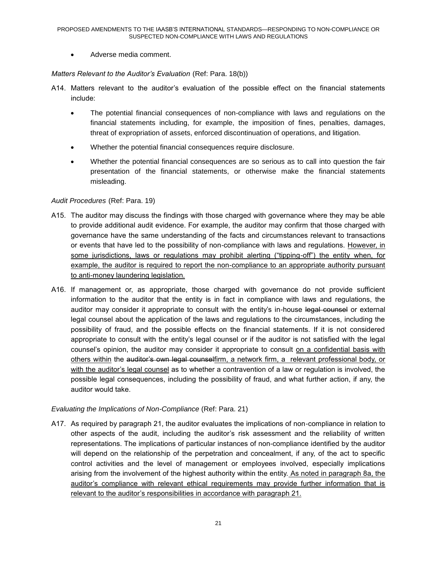Adverse media comment.

#### *Matters Relevant to the Auditor's Evaluation* (Ref: Para. 18(b))

- A14. Matters relevant to the auditor's evaluation of the possible effect on the financial statements include:
	- The potential financial consequences of non-compliance with laws and regulations on the financial statements including, for example, the imposition of fines, penalties, damages, threat of expropriation of assets, enforced discontinuation of operations, and litigation.
	- Whether the potential financial consequences require disclosure.
	- Whether the potential financial consequences are so serious as to call into question the fair presentation of the financial statements, or otherwise make the financial statements misleading.

#### *Audit Procedures* (Ref: Para. 19)

- A15. The auditor may discuss the findings with those charged with governance where they may be able to provide additional audit evidence. For example, the auditor may confirm that those charged with governance have the same understanding of the facts and circumstances relevant to transactions or events that have led to the possibility of non-compliance with laws and regulations. However, in some jurisdictions, laws or regulations may prohibit alerting ("tipping-off") the entity when, for example, the auditor is required to report the non-compliance to an appropriate authority pursuant to anti-money laundering legislation.
- A16. If management or, as appropriate, those charged with governance do not provide sufficient information to the auditor that the entity is in fact in compliance with laws and regulations, the auditor may consider it appropriate to consult with the entity's in-house legal counsel or external legal counsel about the application of the laws and regulations to the circumstances, including the possibility of fraud, and the possible effects on the financial statements. If it is not considered appropriate to consult with the entity's legal counsel or if the auditor is not satisfied with the legal counsel's opinion, the auditor may consider it appropriate to consult on a confidential basis with others within the auditor's own legal counselfirm, a network firm, a relevant professional body, or with the auditor's legal counsel as to whether a contravention of a law or regulation is involved, the possible legal consequences, including the possibility of fraud, and what further action, if any, the auditor would take.

#### *Evaluating the Implications of Non-Compliance* (Ref: Para. 21)

A17. As required by paragraph 21, the auditor evaluates the implications of non-compliance in relation to other aspects of the audit, including the auditor's risk assessment and the reliability of written representations. The implications of particular instances of non-compliance identified by the auditor will depend on the relationship of the perpetration and concealment, if any, of the act to specific control activities and the level of management or employees involved, especially implications arising from the involvement of the highest authority within the entity. As noted in paragraph 8a, the auditor's compliance with relevant ethical requirements may provide further information that is relevant to the auditor's responsibilities in accordance with paragraph 21.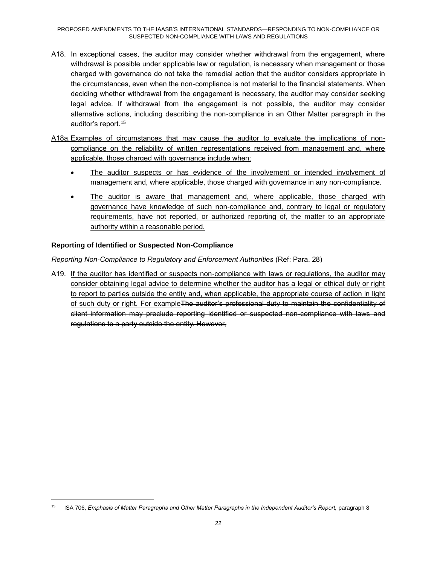- A18. In exceptional cases, the auditor may consider whether withdrawal from the engagement, where withdrawal is possible under applicable law or regulation, is necessary when management or those charged with governance do not take the remedial action that the auditor considers appropriate in the circumstances, even when the non-compliance is not material to the financial statements. When deciding whether withdrawal from the engagement is necessary, the auditor may consider seeking legal advice. If withdrawal from the engagement is not possible, the auditor may consider alternative actions, including describing the non-compliance in an Other Matter paragraph in the auditor's report.<sup>15</sup>
- A18a.Examples of circumstances that may cause the auditor to evaluate the implications of noncompliance on the reliability of written representations received from management and, where applicable, those charged with governance include when:
	- The auditor suspects or has evidence of the involvement or intended involvement of management and, where applicable, those charged with governance in any non-compliance.
	- The auditor is aware that management and, where applicable, those charged with governance have knowledge of such non-compliance and, contrary to legal or regulatory requirements, have not reported, or authorized reporting of, the matter to an appropriate authority within a reasonable period.

### **Reporting of Identified or Suspected Non-Compliance**

l

*Reporting Non-Compliance to Regulatory and Enforcement Authorities* (Ref: Para. 28)

A19. If the auditor has identified or suspects non-compliance with laws or regulations, the auditor may consider obtaining legal advice to determine whether the auditor has a legal or ethical duty or right to report to parties outside the entity and, when applicable, the appropriate course of action in light of such duty or right. For exampleThe auditor's professional duty to maintain the confidentiality of client information may preclude reporting identified or suspected non-compliance with laws and regulations to a party outside the entity. However,

<sup>15</sup>A 706, *Emphasis of Matter Paragraphs and Other Matter Paragraphs in the Independent Auditor's Report, paragraph 8*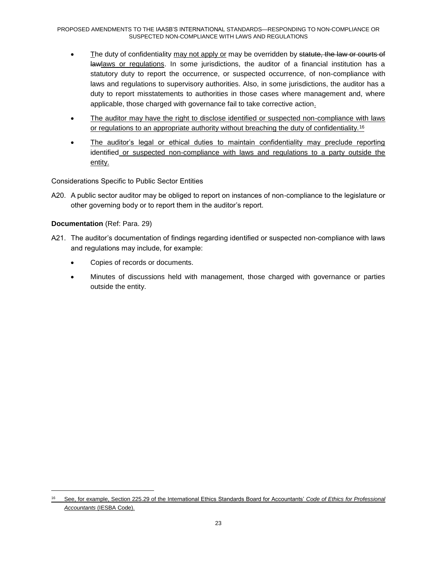- The duty of confidentiality may not apply or may be overridden by statute, the law or courts of lawlaws or regulations. In some jurisdictions, the auditor of a financial institution has a statutory duty to report the occurrence, or suspected occurrence, of non-compliance with laws and regulations to supervisory authorities. Also, in some jurisdictions, the auditor has a duty to report misstatements to authorities in those cases where management and, where applicable, those charged with governance fail to take corrective action.
- The auditor may have the right to disclose identified or suspected non-compliance with laws or regulations to an appropriate authority without breaching the duty of confidentiality.<sup>16</sup>
- The auditor's legal or ethical duties to maintain confidentiality may preclude reporting identified or suspected non-compliance with laws and regulations to a party outside the entity.

Considerations Specific to Public Sector Entities

A20. A public sector auditor may be obliged to report on instances of non-compliance to the legislature or other governing body or to report them in the auditor's report.

#### **Documentation** (Ref: Para. 29)

- A21. The auditor's documentation of findings regarding identified or suspected non-compliance with laws and regulations may include, for example:
	- Copies of records or documents.
	- Minutes of discussions held with management, those charged with governance or parties outside the entity.

<sup>16</sup> See, for example, Section 225.29 of the International Ethics Standards Board for Accountants' *Code of Ethics for Professional Accountants* (IESBA Code).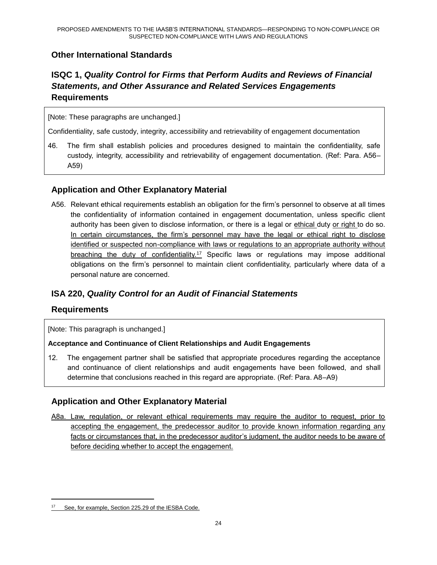## **Other International Standards**

## **ISQC 1,** *Quality Control for Firms that Perform Audits and Reviews of Financial Statements, and Other Assurance and Related Services Engagements* **Requirements**

[Note: These paragraphs are unchanged.]

Confidentiality, safe custody, integrity, accessibility and retrievability of engagement documentation

46. The firm shall establish policies and procedures designed to maintain the confidentiality, safe custody, integrity, accessibility and retrievability of engagement documentation. (Ref: Para. A56– A59)

## **Application and Other Explanatory Material**

A56. Relevant ethical requirements establish an obligation for the firm's personnel to observe at all times the confidentiality of information contained in engagement documentation, unless specific client authority has been given to disclose information, or there is a legal or ethical duty or right to do so. In certain circumstances, the firm's personnel may have the legal or ethical right to disclose identified or suspected non-compliance with laws or regulations to an appropriate authority without breaching the duty of confidentiality.<sup>17</sup> Specific laws or regulations may impose additional obligations on the firm's personnel to maintain client confidentiality, particularly where data of a personal nature are concerned.

## **ISA 220,** *Quality Control for an Audit of Financial Statements*

## **Requirements**

l

[Note: This paragraph is unchanged.]

### **Acceptance and Continuance of Client Relationships and Audit Engagements**

12. The engagement partner shall be satisfied that appropriate procedures regarding the acceptance and continuance of client relationships and audit engagements have been followed, and shall determine that conclusions reached in this regard are appropriate. (Ref: Para. A8–A9)

## **Application and Other Explanatory Material**

A8a. Law, regulation, or relevant ethical requirements may require the auditor to request, prior to accepting the engagement, the predecessor auditor to provide known information regarding any facts or circumstances that, in the predecessor auditor's judgment, the auditor needs to be aware of before deciding whether to accept the engagement.

<sup>&</sup>lt;sup>17</sup> See, for example, Section 225.29 of the IESBA Code.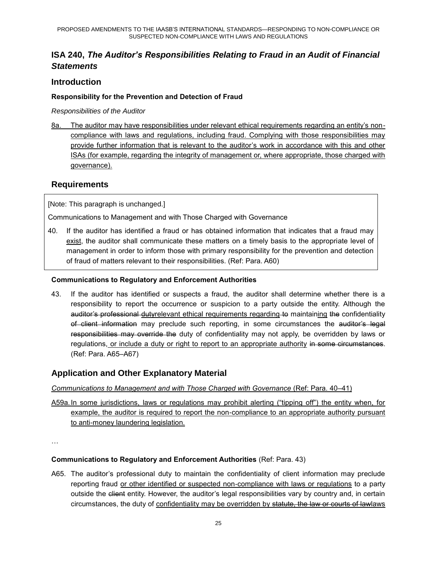## **ISA 240,** *The Auditor's Responsibilities Relating to Fraud in an Audit of Financial Statements*

### **Introduction**

#### **Responsibility for the Prevention and Detection of Fraud**

*Responsibilities of the Auditor* 

8a. The auditor may have responsibilities under relevant ethical requirements regarding an entity's noncompliance with laws and regulations, including fraud. Complying with those responsibilities may provide further information that is relevant to the auditor's work in accordance with this and other ISAs (for example, regarding the integrity of management or, where appropriate, those charged with governance).

## **Requirements**

[Note: This paragraph is unchanged.]

Communications to Management and with Those Charged with Governance

40. If the auditor has identified a fraud or has obtained information that indicates that a fraud may exist, the auditor shall communicate these matters on a timely basis to the appropriate level of management in order to inform those with primary responsibility for the prevention and detection of fraud of matters relevant to their responsibilities. (Ref: Para. A60)

#### **Communications to Regulatory and Enforcement Authorities**

43. If the auditor has identified or suspects a fraud, the auditor shall determine whether there is a responsibility to report the occurrence or suspicion to a party outside the entity. Although the auditor's professional dutyrelevant ethical requirements regarding to maintaining the confidentiality of client information may preclude such reporting, in some circumstances the auditor's legal responsibilities may override the duty of confidentiality may not apply, be overridden by laws or regulations, or include a duty or right to report to an appropriate authority in some circumstances. (Ref: Para. A65–A67)

## **Application and Other Explanatory Material**

*Communications to Management and with Those Charged with Governance* (Ref: Para. 40–41)

A59a.In some jurisdictions, laws or regulations may prohibit alerting ("tipping off") the entity when, for example, the auditor is required to report the non-compliance to an appropriate authority pursuant to anti-money laundering legislation.

…

#### **Communications to Regulatory and Enforcement Authorities** (Ref: Para. 43)

A65. The auditor's professional duty to maintain the confidentiality of client information may preclude reporting fraud or other identified or suspected non-compliance with laws or regulations to a party outside the client entity. However, the auditor's legal responsibilities vary by country and, in certain circumstances, the duty of confidentiality may be overridden by statute, the law or courts of lawlaws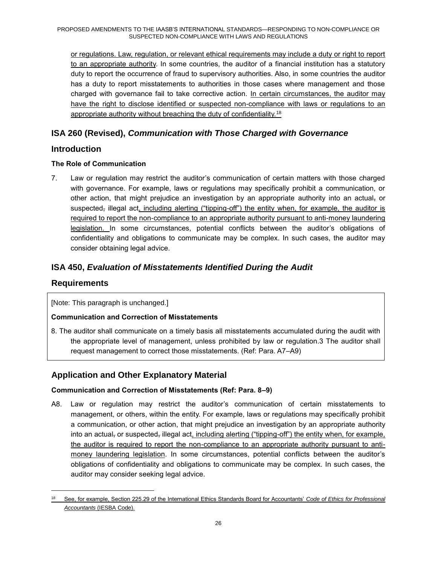or regulations. Law, regulation, or relevant ethical requirements may include a duty or right to report to an appropriate authority. In some countries, the auditor of a financial institution has a statutory duty to report the occurrence of fraud to supervisory authorities. Also, in some countries the auditor has a duty to report misstatements to authorities in those cases where management and those charged with governance fail to take corrective action. In certain circumstances, the auditor may have the right to disclose identified or suspected non-compliance with laws or regulations to an appropriate authority without breaching the duty of confidentiality.<sup>18</sup>

## **ISA 260 (Revised),** *Communication with Those Charged with Governance*

## **Introduction**

### **The Role of Communication**

7. Law or regulation may restrict the auditor's communication of certain matters with those charged with governance. For example, laws or regulations may specifically prohibit a communication, or other action, that might prejudice an investigation by an appropriate authority into an actual-or suspected, illegal act, including alerting ("tipping-off") the entity when, for example, the auditor is required to report the non-compliance to an appropriate authority pursuant to anti-money laundering legislation. In some circumstances, potential conflicts between the auditor's obligations of confidentiality and obligations to communicate may be complex. In such cases, the auditor may consider obtaining legal advice.

## **ISA 450,** *Evaluation of Misstatements Identified During the Audit*

## **Requirements**

l

[Note: This paragraph is unchanged.]

### **Communication and Correction of Misstatements**

8. The auditor shall communicate on a timely basis all misstatements accumulated during the audit with the appropriate level of management, unless prohibited by law or regulation.3 The auditor shall request management to correct those misstatements. (Ref: Para. A7–A9)

## **Application and Other Explanatory Material**

## **Communication and Correction of Misstatements (Ref: Para. 8–9)**

A8. Law or regulation may restrict the auditor's communication of certain misstatements to management, or others, within the entity. For example, laws or regulations may specifically prohibit a communication, or other action, that might prejudice an investigation by an appropriate authority into an actual, or suspected, illegal act, including alerting ("tipping-off") the entity when, for example, the auditor is required to report the non-compliance to an appropriate authority pursuant to antimoney laundering legislation. In some circumstances, potential conflicts between the auditor's obligations of confidentiality and obligations to communicate may be complex. In such cases, the auditor may consider seeking legal advice.

<sup>18</sup> See, for example, Section 225.29 of the International Ethics Standards Board for Accountants' *Code of Ethics for Professional Accountants* (IESBA Code).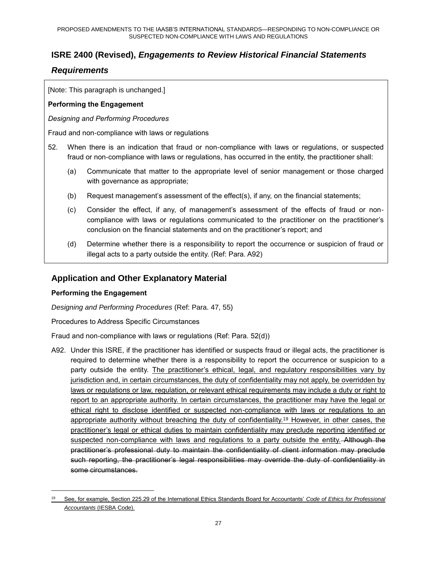## **ISRE 2400 (Revised),** *Engagements to Review Historical Financial Statements*

## *Requirements*

[Note: This paragraph is unchanged.]

#### **Performing the Engagement**

#### *Designing and Performing Procedures*

Fraud and non-compliance with laws or regulations

- 52. When there is an indication that fraud or non-compliance with laws or regulations, or suspected fraud or non-compliance with laws or regulations, has occurred in the entity, the practitioner shall:
	- (a) Communicate that matter to the appropriate level of senior management or those charged with governance as appropriate;
	- (b) Request management's assessment of the effect(s), if any, on the financial statements;
	- (c) Consider the effect, if any, of management's assessment of the effects of fraud or noncompliance with laws or regulations communicated to the practitioner on the practitioner's conclusion on the financial statements and on the practitioner's report; and
	- (d) Determine whether there is a responsibility to report the occurrence or suspicion of fraud or illegal acts to a party outside the entity. (Ref: Para. A92)

## **Application and Other Explanatory Material**

### **Performing the Engagement**

l

*Designing and Performing Procedures* (Ref: Para. 47, 55)

Procedures to Address Specific Circumstances

Fraud and non-compliance with laws or regulations (Ref: Para. 52(d))

A92. Under this ISRE, if the practitioner has identified or suspects fraud or illegal acts, the practitioner is required to determine whether there is a responsibility to report the occurrence or suspicion to a party outside the entity. The practitioner's ethical, legal, and regulatory responsibilities vary by jurisdiction and, in certain circumstances, the duty of confidentiality may not apply, be overridden by laws or regulations or law, regulation, or relevant ethical requirements may include a duty or right to report to an appropriate authority. In certain circumstances, the practitioner may have the legal or ethical right to disclose identified or suspected non-compliance with laws or regulations to an appropriate authority without breaching the duty of confidentiality.<sup>19</sup> However, in other cases, the practitioner's legal or ethical duties to maintain confidentiality may preclude reporting identified or suspected non-compliance with laws and regulations to a party outside the entity. Although the practitioner's professional duty to maintain the confidentiality of client information may preclude such reporting, the practitioner's legal responsibilities may override the duty of confidentiality in some circumstances.

<sup>19</sup> See, for example, Section 225.29 of the International Ethics Standards Board for Accountants' *Code of Ethics for Professional Accountants* (IESBA Code).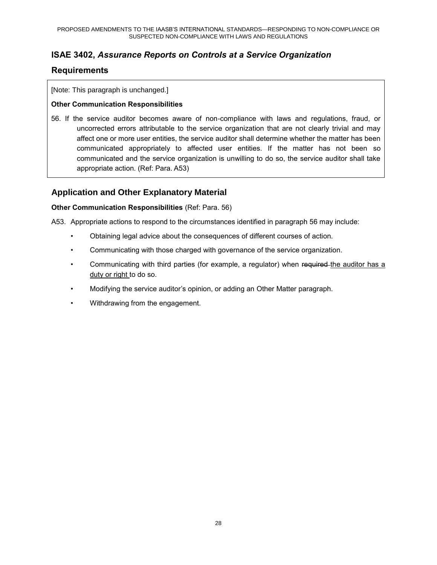## **ISAE 3402,** *Assurance Reports on Controls at a Service Organization*

## **Requirements**

[Note: This paragraph is unchanged.]

#### **Other Communication Responsibilities**

56. If the service auditor becomes aware of non-compliance with laws and regulations, fraud, or uncorrected errors attributable to the service organization that are not clearly trivial and may affect one or more user entities, the service auditor shall determine whether the matter has been communicated appropriately to affected user entities. If the matter has not been so communicated and the service organization is unwilling to do so, the service auditor shall take appropriate action. (Ref: Para. A53)

## **Application and Other Explanatory Material**

#### **Other Communication Responsibilities** (Ref: Para. 56)

A53. Appropriate actions to respond to the circumstances identified in paragraph 56 may include:

- Obtaining legal advice about the consequences of different courses of action.
- Communicating with those charged with governance of the service organization.
- Communicating with third parties (for example, a regulator) when required the auditor has a duty or right to do so.
- Modifying the service auditor's opinion, or adding an Other Matter paragraph.
- Withdrawing from the engagement.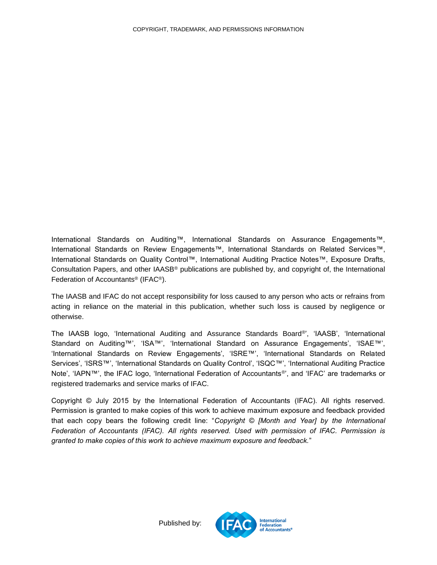International Standards on Auditing™, International Standards on Assurance Engagements™, International Standards on Review Engagements™, International Standards on Related Services™, International Standards on Quality Control™, International Auditing Practice Notes™, Exposure Drafts, Consultation Papers, and other IAASB® publications are published by, and copyright of, the International Federation of Accountants® (IFAC®).

The IAASB and IFAC do not accept responsibility for loss caused to any person who acts or refrains from acting in reliance on the material in this publication, whether such loss is caused by negligence or otherwise.

The IAASB logo, 'International Auditing and Assurance Standards Board®', 'IAASB', 'International Standard on Auditing™', 'ISA™', 'International Standard on Assurance Engagements', 'ISAE™', 'International Standards on Review Engagements', 'ISRE™', 'International Standards on Related Services', 'ISRS™', 'International Standards on Quality Control', 'ISQC™', 'International Auditing Practice Note', 'IAPN™', the IFAC logo, 'International Federation of Accountants®', and 'IFAC' are trademarks or registered trademarks and service marks of IFAC.

Copyright © July 2015 by the International Federation of Accountants (IFAC). All rights reserved. Permission is granted to make copies of this work to achieve maximum exposure and feedback provided that each copy bears the following credit line: "*Copyright © [Month and Year] by the International Federation of Accountants (IFAC). All rights reserved. Used with permission of IFAC. Permission is granted to make copies of this work to achieve maximum exposure and feedback.*"